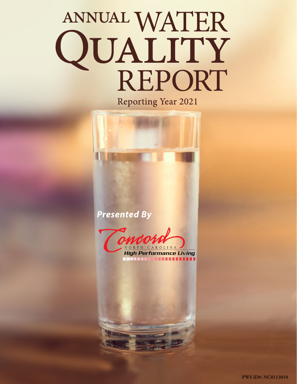# ANNUAL WATER<br>QUALITY<br>REPORT

**Reporting Year 2021** 

*Presented By*



**High Performance Living** \_\_\_\_\_\_\_\_\_\_\_\_\_\_\_\_\_\_\_\_\_\_

**PWS ID#: NC0113010**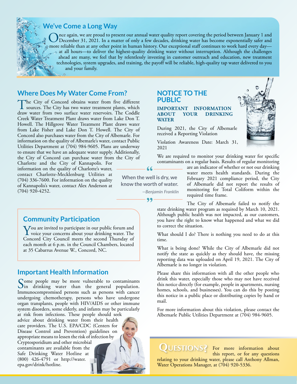

# **We've Come a Long Way**

Once again, we are proud to present our annual water quality report covering the period between January 1 and<br>December 31, 2021. In a matter of only a few decades, drinking water has become exponentially safer and<br>non-nati more reliable than at any other point in human history. Our exceptional staff continues to work hard every day at all hours—to deliver the highest-quality drinking water without interruption. Although the challenges ahead are many, we feel that by relentlessly investing in customer outreach and education, new treatment technologies, system upgrades, and training, the payoff will be reliable, high-quality tap water delivered to you and your family.

# **Where Does My Water Come From?**

The City of Concord obtains water from five different sources. The City has two water treatment plants, which draw water from two surface water reservoirs. The Coddle Creek Water Treatment Plant draws water from Lake Don T. Howell. The Hillgrove Water Treatment Plant draws water from Lake Fisher and Lake Don T. Howell. The City of Concord also purchases water from the City of Albemarle. For information on the quality of Albemarle's water, contact Public Utilities Department at (704) 984-9605. Plans are underway to ensure that we have an adequate water supply. Additionally, the City of Concord can purchase water from the City of

Charlotte and the City of Kannapolis. For information on the quality of Charlotte's water, contact Charlotte-Mecklenburg Utilities at (704) 336-7600. For information on the quality of Kannapolis's water, contact Alex Anderson at (704) 920-4252.

# **Community Participation**

**Y**ou are invited to participate in our public forum and<br>voice your concerns about your drinking water. The<br>Concernd City Council mosts the second Thursday of Concord City Council meets the second Thursday of each month at 6 p.m. in the Council Chambers, located at 35 Cabarrus Avenue W., Concord, NC.

# **Important Health Information**

Some people may be more vulnerable to contaminants<br>In drinking water than the general population. Immunocompromised persons such as persons with cancer undergoing chemotherapy, persons who have undergone organ transplants, people with HIV/AIDS or other immune system disorders, some elderly, and infants may be particularly

at risk from infections. These people should seek advice about drinking water from their health care providers. The U.S. EPA/CDC (Centers for Disease Control and Prevention) guidelines on appropriate means to lessen the risk of infection by Cryptosporidium and other microbial contaminants are available from the Safe Drinking Water Hotline at (800) 426-4791 or [http://water.](http://water.epa.gov/drink/hotline) [epa.gov/drink/hotline](http://water.epa.gov/drink/hotline).

# **NOTICE TO THE PUBLIC**

**IMPORTANT INFORMATION ABOUT YOUR DRINKING WATER**

During 2021, the City of Albemarle received a Reporting Violation

Violation Awareness Date: March 31, 2021

We are required to monitor your drinking water for specific contaminants on a regular basis. Results of regular monitoring



are an indicator of whether or not our drinking water meets health standards. During the February 2021 compliance period, the City of Albemarle did not report the results of monitoring for Total Coliform within the required time frame.

The City of Albemarle failed to notify the state drinking water program as required by March 10, 2021. Although public health was not impacted, as our customers, you have the right to know what happened and what we did to correct the situation.

What should I do? There is nothing you need to do at this time.

What is being done? While the City of Albemarle did not notify the state as quickly as they should have, the missing reporting data was uploaded on April 19, 2021. The City of Albemarle is no longer in violation.

Please share this information with all the other people who drink this water, especially those who may not have received this notice directly (for example, people in apartments, nursing homes, schools, and businesses). You can do this by posting this notice in a public place or distributing copies by hand or mail.

For more information about this violation, please contact the Albemarle Public Utilities Department at (704) 984-9605.

Questions? For more information about this report, or for any questions relating to your drinking water, please call Anthony Allman, Water Operations Manager, at (704) 920-5336.

**When the well is dry, we know the worth of water.** *—Benjamin Franklin*

 $99<sub>1</sub>$ 

66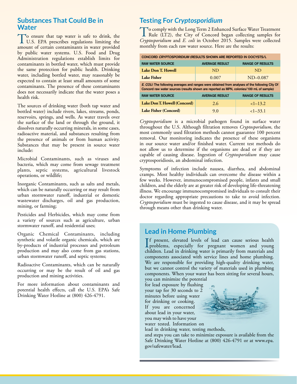# **Substances That Could Be in Water**

To ensure that tap water is safe to drink, the U.S. EPA prescribes regulations limiting the amount of certain contaminants in water provided by public water systems. U.S. Food and Drug Administration regulations establish limits for contaminants in bottled water, which must provide the same protection for public health. Drinking water, including bottled water, may reasonably be expected to contain at least small amounts of some contaminants. The presence of these contaminants does not necessarily indicate that the water poses a health risk.

The sources of drinking water (both tap water and bottled water) include rivers, lakes, streams, ponds, reservoirs, springs, and wells. As water travels over the surface of the land or through the ground, it dissolves naturally occurring minerals, in some cases, radioactive material, and substances resulting from the presence of animals or from human activity. Substances that may be present in source water include:

Microbial Contaminants, such as viruses and bacteria, which may come from sewage treatment plants, septic systems, agricultural livestock operations, or wildlife;

Inorganic Contaminants, such as salts and metals, which can be naturally occurring or may result from urban stormwater runoff, industrial or domestic wastewater discharges, oil and gas production, mining, or farming;

Pesticides and Herbicides, which may come from a variety of sources such as agriculture, urban stormwater runoff, and residential uses;

Organic Chemical Contaminants, including synthetic and volatile organic chemicals, which are by-products of industrial processes and petroleum production and may also come from gas stations, urban stormwater runoff, and septic systems;

Radioactive Contaminants, which can be naturally occurring or may be the result of oil and gas production and mining activities.

For more information about contaminants and potential health effects, call the U.S. EPA's Safe Drinking Water Hotline at (800) 426-4791.

# **Testing For** *Cryptosporidium*

To comply with the Long Term 2 Enhanced Surface Water Treatment<br>Rule (LT2), the City of Concord began collecting samples for<br>Conttating idian of E. add in Orthor 2015, Samples were collected *Cryptosporidium* and *E. coli* in October 2015. Samples were collected monthly from each raw water source. Here are the results:

| CONCORD CRYPTOSPORIDIUM (RESULTS SHOWN ARE REPORTED IN OOCYSTS/L                                                                                                                            |                       |                         |  |  |  |  |  |  |  |
|---------------------------------------------------------------------------------------------------------------------------------------------------------------------------------------------|-----------------------|-------------------------|--|--|--|--|--|--|--|
| <b>RAW WATER SOURCE</b>                                                                                                                                                                     | <b>AVERAGE RESULT</b> | <b>RANGE OF RESULTS</b> |  |  |  |  |  |  |  |
| Lake Don T. Howell                                                                                                                                                                          | ND.                   | <b>ND</b>               |  |  |  |  |  |  |  |
| <b>Lake Fisher</b>                                                                                                                                                                          | 0.007                 | $ND-0.087$              |  |  |  |  |  |  |  |
| E. COLI: The following averages and ranges were obtained from analyses of the following City Of<br>Concord raw water sources (results shown are reported as MPN, colonies/100 mL of sample) |                       |                         |  |  |  |  |  |  |  |
| <b>RAW WATER SOURCE</b><br><b>RANGE OF RESULTS</b><br><b>AVERAGE RESULT</b>                                                                                                                 |                       |                         |  |  |  |  |  |  |  |
| Lake Don T. Howell (Concord)                                                                                                                                                                | 2.6                   | $<1-13.2$               |  |  |  |  |  |  |  |
| Lake Fisher (Concord)                                                                                                                                                                       | 9.0                   | $<1-33.1$               |  |  |  |  |  |  |  |

*Cryptosporidium* is a microbial pathogen found in surface water throughout the U.S. Although filtration removes *Cryptosporidium*, the most commonly used filtration methods cannot guarantee 100 percent removal. Our monitoring indicates the presence of these organisms in our source water and/or finished water. Current test methods do not allow us to determine if the organisms are dead or if they are capable of causing disease. Ingestion of *Cryptosporidium* may cause cryptosporidiosis, an abdominal infection.

Symptoms of infection include nausea, diarrhea, and abdominal cramps. Most healthy individuals can overcome the disease within a few weeks. However, immunocompromised people, infants and small children, and the elderly are at greater risk of developing life-threatening illness. We encourage immunocompromised individuals to consult their doctor regarding appropriate precautions to take to avoid infection. *Cryptosporidium* must be ingested to cause disease, and it may be spread through means other than drinking water.

# **Lead in Home Plumbing**

If present, elevated levels of lead can cause serious health<br>problems, especially for pregnant women and young<br>akildren I od in dijelijng were is primarily from materials and f present, elevated levels of lead can cause serious health children. Lead in drinking water is primarily from materials and components associated with service lines and home plumbing. We are responsible for providing high-quality drinking water, but we cannot control the variety of materials used in plumbing components. When your water has been sitting for several hours, you can minimize the potential

for lead exposure by flushing your tap for 30 seconds to 2 minutes before using water for drinking or cooking. If you are concerned about lead in your water, you may wish to have your water tested. Information on



lead in drinking water, testing methods,

and steps you can take to minimize exposure is available from the Safe Drinking Water Hotline at (800) 426-4791 or at [www.epa.](http://www.epa.gov/safewater/lead) [gov/safewater/lead](http://www.epa.gov/safewater/lead).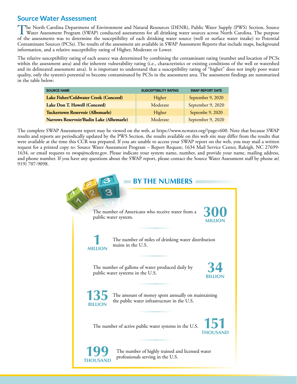# **Source Water Assessment**

The North Carolina Department of Environment and Natural Resources (DENR), Public Water Supply (PWS) Section, Source<br>Water Assessment Program (SWAP) conducted assessments for all drinking water sources across North Carolin of the assessments was to determine the susceptibility of each drinking water source (well or surface water intake) to Potential Contaminant Sources (PCSs). The results of the assessment are available in SWAP Assessment Reports that include maps, background information, and a relative susceptibility rating of Higher, Moderate or Lower.

The relative susceptibility rating of each source was determined by combining the contaminant rating (number and location of PCSs within the assessment area) and the inherent vulnerability rating (i.e., characteristics or existing conditions of the well or watershed and its delineated assessment area). It is important to understand that a susceptibility rating of "higher" does not imply poor water quality, only the system's potential to become contaminated by PCSs in the assessment area. The assessment findings are summarized in the table below:

| <b>SOURCE NAME</b>                       | <b>SUSCEPTIBILITY RATING</b> | <b>SWAP REPORT DATE</b> |
|------------------------------------------|------------------------------|-------------------------|
| Lake Fisher/Coldwater Creek (Concord)    | Higher                       | September 9, 2020       |
| Lake Don T. Howell (Concord)             | Moderate                     | September 9, 2020       |
| <b>Tuckertown Reservoir (Albemarle)</b>  | Higher                       | Septembe 9, 2020        |
| Narrows Reservoir/Badin Lake (Albemarle) | Moderate                     | September 9, 2020       |

The complete SWAP Assessment report may be viewed on the web, at [https://www.ncwater.org/?page=600.](https://www.ncwater.org/?page=600) Note that because SWAP results and reports are periodically updated by the PWS Section, the results available on this web site may differ from the results that were available at the time this CCR was prepared. If you are unable to access your SWAP report on the web, you may mail a written request for a printed copy to: Source Water Assessment Program – Report Request, 1634 Mail Service Center, Raleigh, NC 27699- 1634, or email requests to [swap@ncdenr.gov.](mailto:swap@ncdenr.gov) Please indicate your system name, number, and provide your name, mailing address, and phone number. If you have any questions about the SWAP report, please contact the Source Water Assessment staff by phone at( 919) 707-9098.

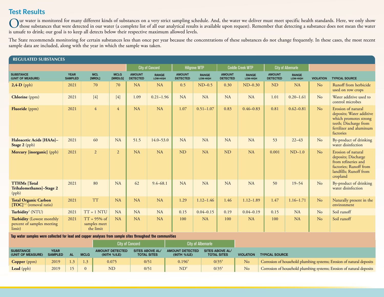# **Test Results**

Our water is monitored for many different kinds of substances on a very strict sampling schedule. And, the water we deliver must meet specific health standards. Here, we only show<br>those substances that were detected in our is unsafe to drink; our goal is to keep all detects below their respective maximum allowed levels.

The State recommends monitoring for certain substances less than once per year because the concentrations of these substances do not change frequently. In these cases, the most recent sample data are included, along with the year in which the sample was taken.

| <b>REGULATED SUBSTANCES</b>                                              |                               |                                             |                        |                                  |                          |                                  |                          |                                  |                          |                                  |                          |                  |                                                                                                                                          |
|--------------------------------------------------------------------------|-------------------------------|---------------------------------------------|------------------------|----------------------------------|--------------------------|----------------------------------|--------------------------|----------------------------------|--------------------------|----------------------------------|--------------------------|------------------|------------------------------------------------------------------------------------------------------------------------------------------|
|                                                                          |                               |                                             |                        |                                  | <b>City of Concord</b>   |                                  | <b>Hillgrove WTP</b>     |                                  | <b>Coddle Creek WTP</b>  | <b>City of Albemarle</b>         |                          |                  |                                                                                                                                          |
| <b>SUBSTANCE</b><br>(UNIT OF MEASURE)                                    | <b>YEAR</b><br><b>SAMPLED</b> | <b>MCL</b><br>[MRDL]                        | <b>MCLG</b><br>[MRDLG] | <b>AMOUNT</b><br><b>DETECTED</b> | <b>RANGE</b><br>LOW-HIGH | <b>AMOUNT</b><br><b>DETECTED</b> | <b>RANGE</b><br>LOW-HIGH | <b>AMOUNT</b><br><b>DETECTED</b> | <b>RANGE</b><br>LOW-HIGH | <b>AMOUNT</b><br><b>DETECTED</b> | <b>RANGE</b><br>LOW-HIGH | <b>VIOLATION</b> | <b>TYPICAL SOURCE</b>                                                                                                                    |
| $2,4-D$ (ppb)                                                            | 2021                          | 70                                          | 70                     | <b>NA</b>                        | <b>NA</b>                | 0.5                              | $ND-0.5$                 | 0.30                             | $ND-0.30$                | <b>ND</b>                        | <b>NA</b>                | N <sub>o</sub>   | Runoff from herbicide<br>used on row crops                                                                                               |
| Chlorine (ppm)                                                           | 2021                          | $[4]$                                       | $[4]$                  | 1.09                             | $0.21 - 1.96$            | <b>NA</b>                        | <b>NA</b>                | <b>NA</b>                        | <b>NA</b>                | 1.01                             | $0.20 - 1.61$            | No               | Water additive used to<br>control microbes                                                                                               |
| Fluoride (ppm)                                                           | 2021                          | $\overline{4}$                              | $\overline{4}$         | NA                               | <b>NA</b>                | 1.07                             | $0.51 - 1.07$            | 0.83                             | $0.46 - 0.83$            | 0.81                             | $0.62 - 0.81$            | N <sub>o</sub>   | Erosion of natural<br>deposits; Water additive<br>which promotes strong<br>teeth; Discharge from<br>fertilizer and aluminum<br>factories |
| Haloacetic Acids [HAAs]-<br>Stage 2 (ppb)                                | 2021                          | 60                                          | NA                     | 51.5                             | $14.0 - 53.0$            | NA                               | <b>NA</b>                | NA                               | <b>NA</b>                | 53                               | $22 - 43$                | No               | By-product of drinking<br>water disinfection                                                                                             |
| Mercury [inorganic] (ppb)                                                | 2021                          | $\overline{2}$                              | $\overline{2}$         | NA                               | NA                       | <b>ND</b>                        | <b>NA</b>                | <b>ND</b>                        | <b>NA</b>                | 0.001                            | $ND-1.0$                 | No               | Erosion of natural<br>deposits; Discharge<br>from refineries and<br>factories; Runoff from<br>landfills; Runoff from<br>cropland         |
| <b>TTHMs</b> [Total<br>Trihalomethanes]-Stage 2<br>(ppb)                 | 2021                          | 80                                          | NA                     | 62                               | $9.4 - 68.1$             | <b>NA</b>                        | NA                       | <b>NA</b>                        | NA                       | 50                               | $19 - 54$                | No               | By-product of drinking<br>water disinfection                                                                                             |
| <b>Total Organic Carbon</b><br>$[TOC]$ <sup>1,2</sup> (removal ratio)    | 2021                          | <b>TT</b>                                   | <b>NA</b>              | NA                               | <b>NA</b>                | 1.29                             | $1.12 - 1.46$            | 1.46                             | $1.12 - 1.89$            | 1.47                             | $1.16 - 1.71$            | No               | Naturally present in the<br>environment                                                                                                  |
| Turbidity <sup>3</sup> (NTU)                                             | 2021                          | $TT = 1 NTU$                                | NA                     | <b>NA</b>                        | <b>NA</b>                | 0.15                             | $0.04 - 0.15$            | 0.19                             | $0.04 - 0.19$            | 0.15                             | <b>NA</b>                | No               | Soil runoff                                                                                                                              |
| <b>Turbidity</b> (Lowest monthly<br>percent of samples meeting<br>limit) | 2021                          | $TT = 95\%$ of<br>samples meet<br>the limit | <b>NA</b>              | <b>NA</b>                        | <b>NA</b>                | 100                              | <b>NA</b>                | 100                              | <b>NA</b>                | 100                              | NA                       | N <sub>o</sub>   | Soil runoff                                                                                                                              |

**Tap water samples were collected for lead and copper analyses from sample sites throughout the communities**

|                                       |                        |    |             | <b>City of Concord</b>                |                                              | <b>City of Albemarle</b>              |                                       |                  |                                                                      |
|---------------------------------------|------------------------|----|-------------|---------------------------------------|----------------------------------------------|---------------------------------------|---------------------------------------|------------------|----------------------------------------------------------------------|
| <b>SUBSTANCE</b><br>(UNIT OF MEASURE) | YEAR<br><b>SAMPLED</b> | AL | <b>MCLG</b> | <b>AMOUNT DETECTED</b><br>(90TH %ILE) | <b>SITES ABOVE AL/</b><br><b>TOTAL SITES</b> | <b>AMOUNT DETECTED</b><br>(90TH %ILE) | SITES ABOVE AL/<br><b>TOTAL SITES</b> | <b>VIOLATION</b> | <b>TYPICAL SOURCE</b>                                                |
| Copper (ppm)                          | 2019                   |    |             | 0.075                                 | 0/51                                         | 0.1964                                | $0/35^{4}$                            | No               | Corrosion of household plumbing systems; Erosion of natural deposits |
| <b>Lead</b> (ppb)                     | 2019                   |    |             | <b>ND</b>                             | 0/51                                         | $\mathrm{ND}^4$                       | $0/35^4$                              | N <sub>o</sub>   | Corrosion of household plumbing systems; Erosion of natural deposits |